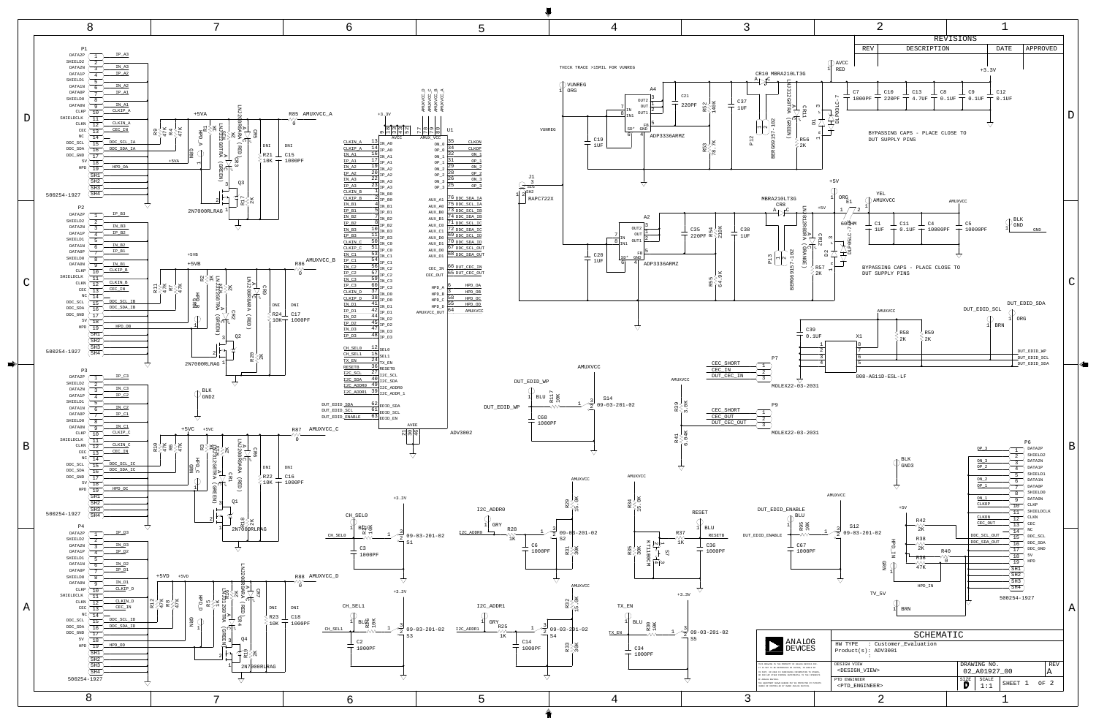